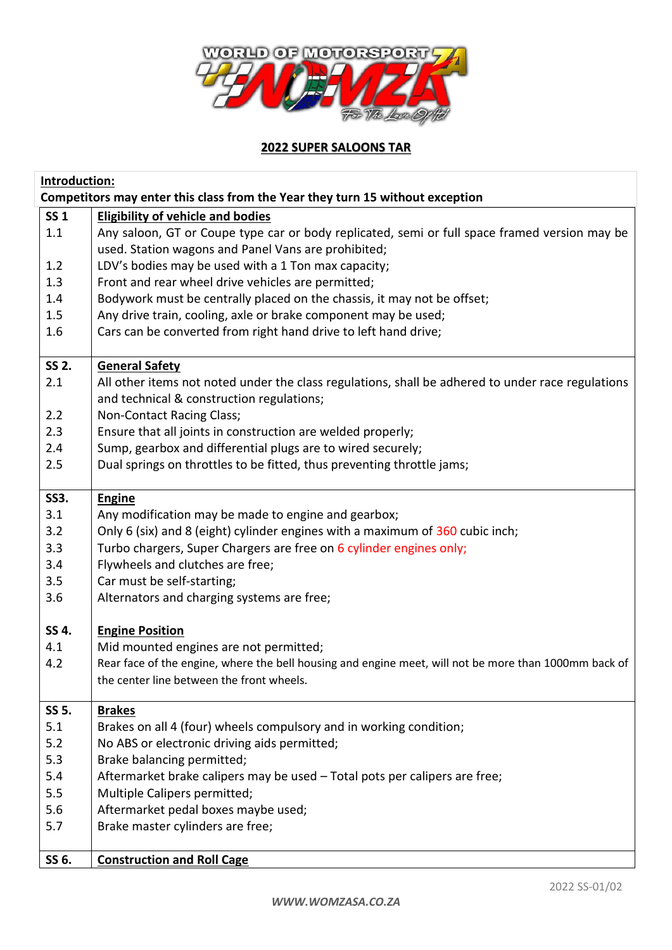

## **2022 SUPER SALOONS TAR**

| Introduction:<br>Competitors may enter this class from the Year they turn 15 without exception |                                                                                                       |  |
|------------------------------------------------------------------------------------------------|-------------------------------------------------------------------------------------------------------|--|
| <b>SS1</b>                                                                                     | <b>Eligibility of vehicle and bodies</b>                                                              |  |
| 1.1                                                                                            | Any saloon, GT or Coupe type car or body replicated, semi or full space framed version may be         |  |
|                                                                                                | used. Station wagons and Panel Vans are prohibited;                                                   |  |
| 1.2                                                                                            | LDV's bodies may be used with a 1 Ton max capacity;                                                   |  |
| 1.3                                                                                            | Front and rear wheel drive vehicles are permitted;                                                    |  |
| 1.4                                                                                            | Bodywork must be centrally placed on the chassis, it may not be offset;                               |  |
| 1.5                                                                                            | Any drive train, cooling, axle or brake component may be used;                                        |  |
| 1.6                                                                                            | Cars can be converted from right hand drive to left hand drive;                                       |  |
| SS 2.                                                                                          | <b>General Safety</b>                                                                                 |  |
| 2.1                                                                                            | All other items not noted under the class regulations, shall be adhered to under race regulations     |  |
|                                                                                                | and technical & construction regulations;                                                             |  |
| 2.2                                                                                            | Non-Contact Racing Class;                                                                             |  |
| 2.3                                                                                            | Ensure that all joints in construction are welded properly;                                           |  |
| 2.4                                                                                            | Sump, gearbox and differential plugs are to wired securely;                                           |  |
| 2.5                                                                                            | Dual springs on throttles to be fitted, thus preventing throttle jams;                                |  |
| <b>SS3.</b>                                                                                    | <b>Engine</b>                                                                                         |  |
| 3.1                                                                                            | Any modification may be made to engine and gearbox;                                                   |  |
| 3.2                                                                                            | Only 6 (six) and 8 (eight) cylinder engines with a maximum of 360 cubic inch;                         |  |
| 3.3                                                                                            | Turbo chargers, Super Chargers are free on 6 cylinder engines only;                                   |  |
| 3.4                                                                                            | Flywheels and clutches are free;                                                                      |  |
| 3.5                                                                                            | Car must be self-starting;                                                                            |  |
| 3.6                                                                                            | Alternators and charging systems are free;                                                            |  |
| SS 4.                                                                                          | <b>Engine Position</b>                                                                                |  |
| 4.1                                                                                            | Mid mounted engines are not permitted;                                                                |  |
| 4.2                                                                                            | Rear face of the engine, where the bell housing and engine meet, will not be more than 1000mm back of |  |
|                                                                                                | the center line between the front wheels.                                                             |  |
| SS 5.                                                                                          | <b>Brakes</b>                                                                                         |  |
| 5.1                                                                                            | Brakes on all 4 (four) wheels compulsory and in working condition;                                    |  |
| 5.2                                                                                            | No ABS or electronic driving aids permitted;                                                          |  |
| 5.3                                                                                            | Brake balancing permitted;                                                                            |  |
| 5.4                                                                                            | Aftermarket brake calipers may be used - Total pots per calipers are free;                            |  |
| 5.5                                                                                            | Multiple Calipers permitted;                                                                          |  |
| 5.6                                                                                            | Aftermarket pedal boxes maybe used;                                                                   |  |
| 5.7                                                                                            | Brake master cylinders are free;                                                                      |  |
| SS 6.                                                                                          | <b>Construction and Roll Cage</b>                                                                     |  |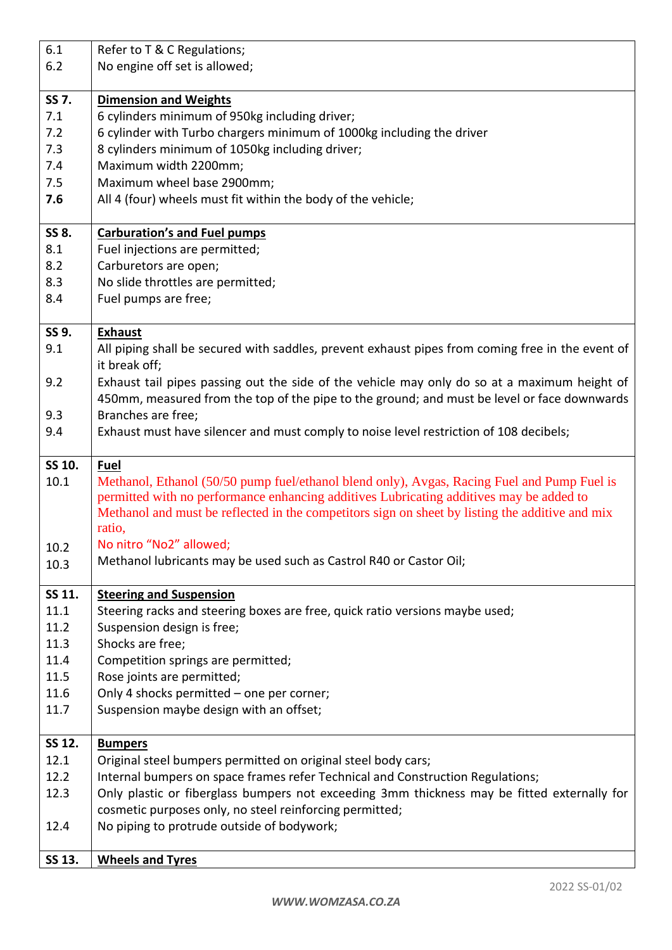| 6.1    | Refer to T & C Regulations;                                                                      |
|--------|--------------------------------------------------------------------------------------------------|
| 6.2    | No engine off set is allowed;                                                                    |
|        |                                                                                                  |
| SS 7.  | <b>Dimension and Weights</b>                                                                     |
| 7.1    | 6 cylinders minimum of 950kg including driver;                                                   |
| 7.2    | 6 cylinder with Turbo chargers minimum of 1000kg including the driver                            |
| 7.3    | 8 cylinders minimum of 1050kg including driver;                                                  |
| 7.4    | Maximum width 2200mm;                                                                            |
| 7.5    | Maximum wheel base 2900mm;                                                                       |
| 7.6    | All 4 (four) wheels must fit within the body of the vehicle;                                     |
|        |                                                                                                  |
| SS 8.  | <b>Carburation's and Fuel pumps</b>                                                              |
| 8.1    | Fuel injections are permitted;                                                                   |
| 8.2    | Carburetors are open;                                                                            |
| 8.3    | No slide throttles are permitted;                                                                |
| 8.4    | Fuel pumps are free;                                                                             |
|        |                                                                                                  |
| SS 9.  | <b>Exhaust</b>                                                                                   |
| 9.1    | All piping shall be secured with saddles, prevent exhaust pipes from coming free in the event of |
|        | it break off;                                                                                    |
| 9.2    |                                                                                                  |
|        | Exhaust tail pipes passing out the side of the vehicle may only do so at a maximum height of     |
|        | 450mm, measured from the top of the pipe to the ground; and must be level or face downwards      |
| 9.3    | Branches are free;                                                                               |
| 9.4    | Exhaust must have silencer and must comply to noise level restriction of 108 decibels;           |
|        |                                                                                                  |
|        |                                                                                                  |
| SS 10. | Fuel                                                                                             |
| 10.1   | Methanol, Ethanol (50/50 pump fuel/ethanol blend only), Avgas, Racing Fuel and Pump Fuel is      |
|        | permitted with no performance enhancing additives Lubricating additives may be added to          |
|        | Methanol and must be reflected in the competitors sign on sheet by listing the additive and mix  |
|        | ratio,                                                                                           |
| 10.2   | No nitro "No2" allowed;                                                                          |
| 10.3   | Methanol lubricants may be used such as Castrol R40 or Castor Oil;                               |
|        |                                                                                                  |
| SS 11. | <b>Steering and Suspension</b>                                                                   |
| 11.1   | Steering racks and steering boxes are free, quick ratio versions maybe used;                     |
| 11.2   | Suspension design is free;                                                                       |
| 11.3   | Shocks are free;                                                                                 |
| 11.4   | Competition springs are permitted;                                                               |
| 11.5   | Rose joints are permitted;                                                                       |
| 11.6   | Only 4 shocks permitted - one per corner;                                                        |
| 11.7   | Suspension maybe design with an offset;                                                          |
|        |                                                                                                  |
| SS 12. | <b>Bumpers</b>                                                                                   |
| 12.1   | Original steel bumpers permitted on original steel body cars;                                    |
| 12.2   | Internal bumpers on space frames refer Technical and Construction Regulations;                   |
| 12.3   | Only plastic or fiberglass bumpers not exceeding 3mm thickness may be fitted externally for      |
|        | cosmetic purposes only, no steel reinforcing permitted;                                          |
| 12.4   | No piping to protrude outside of bodywork;                                                       |
| SS 13. | <b>Wheels and Tyres</b>                                                                          |